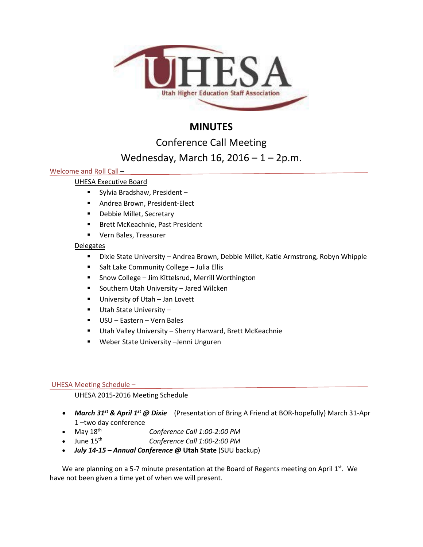

# **MINUTES**

Conference Call Meeting

# Wednesday, March 16, 2016 – 1 – 2p.m.

## Welcome and Roll Call –

## UHESA Executive Board

- Sylvia Bradshaw, President –
- **Andrea Brown, President-Elect**
- **-** Debbie Millet, Secretary
- **Brett McKeachnie, Past President**
- **UPER Bales, Treasurer**

## Delegates

- Dixie State University Andrea Brown, Debbie Millet, Katie Armstrong, Robyn Whipple
- **Salt Lake Community College Julia Ellis**
- Snow College Jim Kittelsrud, Merrill Worthington
- Southern Utah University Jared Wilcken
- **University of Utah Jan Lovett**
- Utah State University –
- USU Eastern Vern Bales
- Utah Valley University Sherry Harward, Brett McKeachnie
- Weber State University –Jenni Unguren

## UHESA Meeting Schedule –

## UHESA 2015-2016 Meeting Schedule

- *March 31st & April 1st @ Dixie* (Presentation of Bring A Friend at BOR-hopefully) March 31-Apr 1 –two day conference
- May 18th *Conference Call 1:00-2:00 PM*
- June 15th *Conference Call 1:00-2:00 PM*
- *July 14-15 – Annual Conference @* **Utah State** (SUU backup)

We are planning on a 5-7 minute presentation at the Board of Regents meeting on April  $1<sup>st</sup>$ . We have not been given a time yet of when we will present.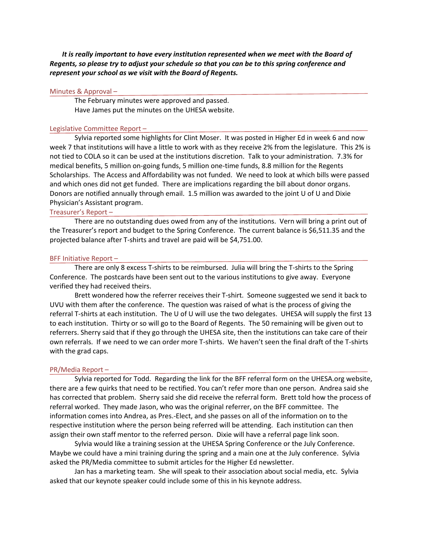*It is really important to have every institution represented when we meet with the Board of Regents, so please try to adjust your schedule so that you can be to this spring conference and represent your school as we visit with the Board of Regents.*

#### Minutes & Approval –

The February minutes were approved and passed. Have James put the minutes on the UHESA website.

#### Legislative Committee Report –

Sylvia reported some highlights for Clint Moser. It was posted in Higher Ed in week 6 and now week 7 that institutions will have a little to work with as they receive 2% from the legislature. This 2% is not tied to COLA so it can be used at the institutions discretion. Talk to your administration. 7.3% for medical benefits, 5 million on-going funds, 5 million one-time funds, 8.8 million for the Regents Scholarships. The Access and Affordability was not funded. We need to look at which bills were passed and which ones did not get funded. There are implications regarding the bill about donor organs. Donors are notified annually through email. 1.5 million was awarded to the joint U of U and Dixie Physician's Assistant program.

Treasurer's Report –

There are no outstanding dues owed from any of the institutions. Vern will bring a print out of the Treasurer's report and budget to the Spring Conference. The current balance is \$6,511.35 and the projected balance after T-shirts and travel are paid will be \$4,751.00.

#### BFF Initiative Report –

There are only 8 excess T-shirts to be reimbursed. Julia will bring the T-shirts to the Spring Conference. The postcards have been sent out to the various institutions to give away. Everyone verified they had received theirs.

Brett wondered how the referrer receives their T-shirt. Someone suggested we send it back to UVU with them after the conference. The question was raised of what is the process of giving the referral T-shirts at each institution. The U of U will use the two delegates. UHESA will supply the first 13 to each institution. Thirty or so will go to the Board of Regents. The 50 remaining will be given out to referrers. Sherry said that if they go through the UHESA site, then the institutions can take care of their own referrals. If we need to we can order more T-shirts. We haven't seen the final draft of the T-shirts with the grad caps.

#### PR/Media Report –

Sylvia reported for Todd. Regarding the link for the BFF referral form on the UHESA.org website, there are a few quirks that need to be rectified. You can't refer more than one person. Andrea said she has corrected that problem. Sherry said she did receive the referral form. Brett told how the process of referral worked. They made Jason, who was the original referrer, on the BFF committee. The information comes into Andrea, as Pres.-Elect, and she passes on all of the information on to the respective institution where the person being referred will be attending. Each institution can then assign their own staff mentor to the referred person. Dixie will have a referral page link soon.

Sylvia would like a training session at the UHESA Spring Conference or the July Conference. Maybe we could have a mini training during the spring and a main one at the July conference. Sylvia asked the PR/Media committee to submit articles for the Higher Ed newsletter.

Jan has a marketing team. She will speak to their association about social media, etc. Sylvia asked that our keynote speaker could include some of this in his keynote address.